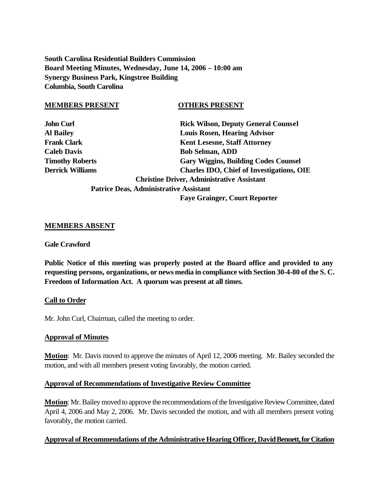**South Carolina Residential Builders Commission Board Meeting Minutes, Wednesday, June 14, 2006 – 10:00 am Synergy Business Park, Kingstree Building Columbia, South Carolina**

#### **MEMBERS PRESENT OTHERS PRESENT**

| <b>John Curl</b>       |                       |
|------------------------|-----------------------|
| <b>Al Bailey</b>       |                       |
| Frank Clark            |                       |
| <b>Caleb Davis</b>     |                       |
| <b>Timothy Roberts</b> |                       |
| Derrick Williams       |                       |
|                        | <b>Christine Driv</b> |

**Rick Wilson, Deputy General Counsel Louis Rosen, Hearing Advisor Kent Lesesne, Staff Attorney Caleb Davis Bob Selman, ADD Gary Wiggins, Building Codes Counsel Charles IDO, Chief of Investigations, OIE Christine Driver, Administrative Assistant Patrice Deas, Administrative Assistant**

 **Faye Grainger, Court Reporter**

#### **MEMBERS ABSENT**

#### **Gale Crawford**

**Public Notice of this meeting was properly posted at the Board office and provided to any requesting persons, organizations, or news media in compliance with Section 30-4-80 of the S. C. Freedom of Information Act. A quorum was present at all times.**

#### **Call to Order**

Mr. John Curl, Chairman, called the meeting to order.

#### **Approval of Minutes**

**Motion**: Mr. Davis moved to approve the minutes of April 12, 2006 meeting. Mr. Bailey seconded the motion, and with all members present voting favorably, the motion carried.

#### **Approval of Recommendations of Investigative Review Committee**

**Motion**: Mr. Bailey moved to approve the recommendations of the Investigative Review Committee, dated April 4, 2006 and May 2, 2006. Mr. Davis seconded the motion, and with all members present voting favorably, the motion carried.

#### **Approval of Recommendations of the Administrative Hearing Officer, David Bennett, for Citation**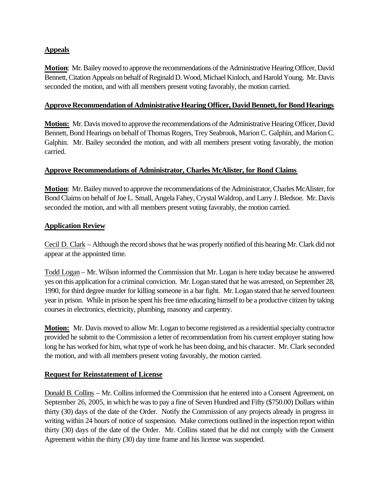# **Appeals**

**Motion**: Mr. Bailey moved to approve the recommendations of the Administrative Hearing Officer, David Bennett, Citation Appeals on behalf of Reginald D. Wood, Michael Kinloch, and Harold Young. Mr. Davis seconded the motion, and with all members present voting favorably, the motion carried.

#### **Approve Recommendation of Administrative Hearing Officer, David Bennett, for Bond Hearings**

**Motion:** Mr. Davis moved to approve the recommendations of the Administrative Hearing Officer, David Bennett, Bond Hearings on behalf of Thomas Rogers, Trey Seabrook, Marion C. Galphin, and Marion C. Galphin. Mr. Bailey seconded the motion, and with all members present voting favorably, the motion carried.

## **Approve Recommendations of Administrator, Charles McAlister, for Bond Claims**

**Motion**: Mr. Bailey moved to approve the recommendations of the Administrator, Charles McAlister, for Bond Claims on behalf of Joe L. Small, Angela Fahey, Crystal Waldrop, and Larry J. Bledsoe. Mr. Davis seconded the motion, and with all members present voting favorably, the motion carried.

## **Application Review**

Cecil D. Clark – Although the record shows that he was properly notified of this hearing Mr. Clark did not appear at the appointed time.

Todd Logan – Mr. Wilson informed the Commission that Mr. Logan is here today because he answered yes on this application for a criminal conviction. Mr. Logan stated that he was arrested, on September 28, 1990, for third degree murder for killing someone in a bar fight. Mr. Logan stated that he served fourteen year in prison. While in prison he spent his free time educating himself to be a productive citizen by taking courses in electronics, electricity, plumbing, masonry and carpentry.

**Motion:** Mr. Davis moved to allow Mr. Logan to become registered as a residential specialty contractor provided he submit to the Commission a letter of recommendation from his current employer stating how long he has worked for him, what type of work he has been doing, and his character. Mr. Clark seconded the motion, and with all members present voting favorably, the motion carried.

## **Request for Reinstatement of License**

Donald B. Collins – Mr. Collins informed the Commission that he entered into a Consent Agreement, on September 26, 2005, in which he was to pay a fine of Seven Hundred and Fifty (\$750.00) Dollars within thirty (30) days of the date of the Order. Notify the Commission of any projects already in progress in writing within 24 hours of notice of suspension. Make corrections outlined in the inspection report within thirty (30) days of the date of the Order. Mr. Collins stated that he did not comply with the Consent Agreement within the thirty (30) day time frame and his license was suspended.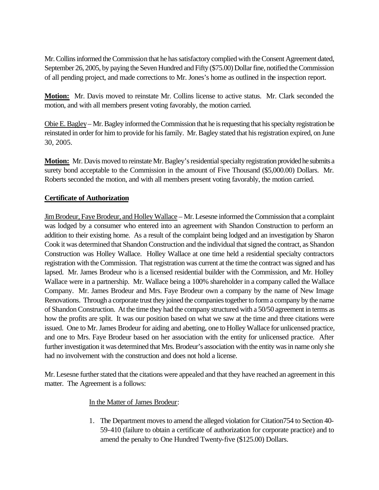Mr. Collins informed the Commission that he has satisfactory complied with the Consent Agreement dated, September 26, 2005, by paying the Seven Hundred and Fifty (\$75.00) Dollar fine, notified the Commission of all pending project, and made corrections to Mr. Jones's home as outlined in the inspection report.

**Motion:** Mr. Davis moved to reinstate Mr. Collins license to active status. Mr. Clark seconded the motion, and with all members present voting favorably, the motion carried.

Obie E. Bagley– Mr. Bagley informed the Commission that he is requesting that his specialty registration be reinstated in order for him to provide for his family. Mr. Bagley stated that his registration expired, on June 30, 2005.

**Motion:** Mr. Davis moved to reinstate Mr. Bagley's residential specialty registration provided he submits a surety bond acceptable to the Commission in the amount of Five Thousand (\$5,000.00) Dollars. Mr. Roberts seconded the motion, and with all members present voting favorably, the motion carried.

## **Certificate of Authorization**

Jim Brodeur, Faye Brodeur, and Holley Wallace – Mr. Lesesne informed the Commission that a complaint was lodged by a consumer who entered into an agreement with Shandon Construction to perform an addition to their existing home. As a result of the complaint being lodged and an investigation by Sharon Cook it was determined that Shandon Construction and the individual that signed the contract, as Shandon Construction was Holley Wallace. Holley Wallace at one time held a residential specialty contractors registration with the Commission. That registration was current at the time the contract was signed and has lapsed. Mr. James Brodeur who is a licensed residential builder with the Commission, and Mr. Holley Wallace were in a partnership. Mr. Wallace being a 100% shareholder in a company called the Wallace Company. Mr. James Brodeur and Mrs. Faye Brodeur own a company by the name of New Image Renovations. Through a corporate trust they joined the companies together to form a company by the name of Shandon Construction. At the time they had the company structured with a 50/50 agreement in terms as how the profits are split. It was our position based on what we saw at the time and three citations were issued. One to Mr. James Brodeur for aiding and abetting, one to Holley Wallace for unlicensed practice, and one to Mrs. Faye Brodeur based on her association with the entity for unlicensed practice. After further investigation it was determined that Mrs. Brodeur's association with the entity was in name only she had no involvement with the construction and does not hold a license.

Mr. Lesesne further stated that the citations were appealed and that they have reached an agreement in this matter. The Agreement is a follows:

## In the Matter of James Brodeur:

1. The Department moves to amend the alleged violation for Citation754 to Section 40- 59-410 (failure to obtain a certificate of authorization for corporate practice) and to amend the penalty to One Hundred Twenty-five (\$125.00) Dollars.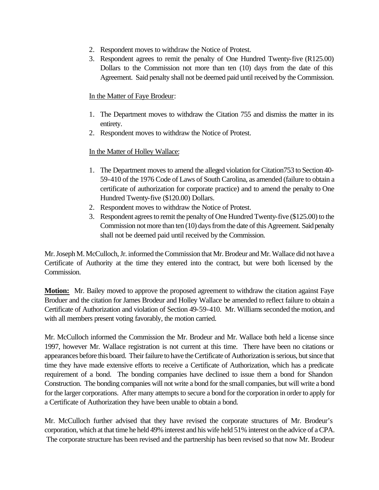- 2. Respondent moves to withdraw the Notice of Protest.
- 3. Respondent agrees to remit the penalty of One Hundred Twenty-five (R125.00) Dollars to the Commission not more than ten (10) days from the date of this Agreement. Said penalty shall not be deemed paid until received by the Commission.

#### In the Matter of Faye Brodeur:

- 1. The Department moves to withdraw the Citation 755 and dismiss the matter in its entirety.
- 2. Respondent moves to withdraw the Notice of Protest.

## In the Matter of Holley Wallace:

- 1. The Department moves to amend the alleged violation for Citation753 to Section 40- 59-410 of the 1976 Code of Laws of South Carolina, as amended (failure to obtain a certificate of authorization for corporate practice) and to amend the penalty to One Hundred Twenty-five (\$120.00) Dollars.
- 2. Respondent moves to withdraw the Notice of Protest.
- 3. Respondent agrees to remit the penalty of One Hundred Twenty-five (\$125.00) to the Commission not more than ten (10) days from the date of this Agreement. Said penalty shall not be deemed paid until received by the Commission.

Mr. Joseph M. McCulloch, Jr. informed the Commission that Mr. Brodeur and Mr. Wallace did not have a Certificate of Authority at the time they entered into the contract, but were both licensed by the Commission.

**Motion:** Mr. Bailey moved to approve the proposed agreement to withdraw the citation against Faye Broduer and the citation for James Brodeur and Holley Wallace be amended to reflect failure to obtain a Certificate of Authorization and violation of Section 49-59-410. Mr. Williams seconded the motion, and with all members present voting favorably, the motion carried.

Mr. McCulloch informed the Commission the Mr. Brodeur and Mr. Wallace both held a license since 1997, however Mr. Wallace registration is not current at this time. There have been no citations or appearances before this board. Their failure to have the Certificate of Authorization is serious, but since that time they have made extensive efforts to receive a Certificate of Authorization, which has a predicate requirement of a bond. The bonding companies have declined to issue them a bond for Shandon Construction. The bonding companies will not write a bond for the small companies, but will write a bond for the larger corporations. After many attempts to secure a bond for the corporation in order to apply for a Certificate of Authorization they have been unable to obtain a bond.

Mr. McCulloch further advised that they have revised the corporate structures of Mr. Brodeur's corporation, which at that time he held 49% interest and his wife held 51% interest on the advice of a CPA. The corporate structure has been revised and the partnership has been revised so that now Mr. Brodeur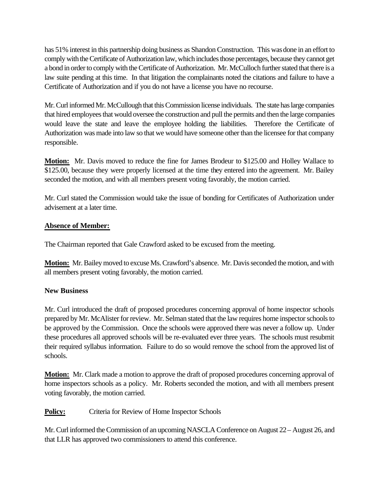has 51% interest in this partnership doing business as Shandon Construction. This was done in an effort to comply with the Certificate of Authorization law, which includes those percentages, because they cannot get a bond in order to comply with the Certificate of Authorization. Mr. McCulloch further stated that there is a law suite pending at this time. In that litigation the complainants noted the citations and failure to have a Certificate of Authorization and if you do not have a license you have no recourse.

Mr. Curl informed Mr. McCullough that this Commission license individuals. The state has large companies that hired employees that would oversee the construction and pull the permits and then the large companies would leave the state and leave the employee holding the liabilities. Therefore the Certificate of Authorization was made into law so that we would have someone other than the licensee for that company responsible.

**Motion:** Mr. Davis moved to reduce the fine for James Brodeur to \$125.00 and Holley Wallace to \$125.00, because they were properly licensed at the time they entered into the agreement. Mr. Bailey seconded the motion, and with all members present voting favorably, the motion carried.

Mr. Curl stated the Commission would take the issue of bonding for Certificates of Authorization under advisement at a later time.

# **Absence of Member:**

The Chairman reported that Gale Crawford asked to be excused from the meeting.

**Motion:** Mr. Bailey moved to excuse Ms. Crawford's absence. Mr. Davis seconded the motion, and with all members present voting favorably, the motion carried.

## **New Business**

Mr. Curl introduced the draft of proposed procedures concerning approval of home inspector schools prepared by Mr. McAlister for review. Mr. Selman stated that the law requires home inspector schools to be approved by the Commission. Once the schools were approved there was never a follow up. Under these procedures all approved schools will be re-evaluated ever three years. The schools must resubmit their required syllabus information. Failure to do so would remove the school from the approved list of schools.

**Motion:** Mr. Clark made a motion to approve the draft of proposed procedures concerning approval of home inspectors schools as a policy. Mr. Roberts seconded the motion, and with all members present voting favorably, the motion carried.

**Policy:** Criteria for Review of Home Inspector Schools

Mr. Curl informed the Commission of an upcoming NASCLA Conference on August 22 – August 26, and that LLR has approved two commissioners to attend this conference.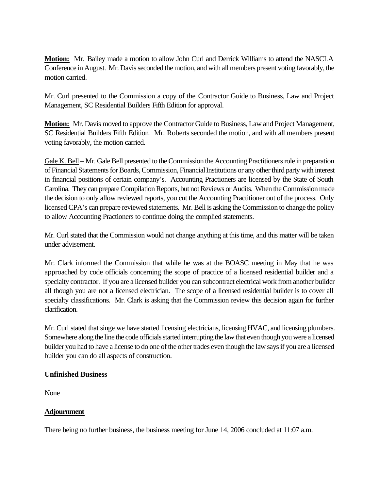**Motion:** Mr. Bailey made a motion to allow John Curl and Derrick Williams to attend the NASCLA Conference in August. Mr. Davis seconded the motion, and with all members present voting favorably, the motion carried.

Mr. Curl presented to the Commission a copy of the Contractor Guide to Business, Law and Project Management, SC Residential Builders Fifth Edition for approval.

**Motion:** Mr. Davis moved to approve the Contractor Guide to Business, Law and Project Management, SC Residential Builders Fifth Edition. Mr. Roberts seconded the motion, and with all members present voting favorably, the motion carried.

Gale K. Bell – Mr. Gale Bell presented to the Commission the Accounting Practitioners role in preparation of Financial Statements for Boards, Commission, Financial Institutions or any other third party with interest in financial positions of certain company's. Accounting Practioners are licensed by the State of South Carolina. They can prepare Compilation Reports, but not Reviews or Audits. When the Commission made the decision to only allow reviewed reports, you cut the Accounting Practitioner out of the process. Only licensed CPA's can prepare reviewed statements. Mr. Bell is asking the Commission to change the policy to allow Accounting Practioners to continue doing the complied statements.

Mr. Curl stated that the Commission would not change anything at this time, and this matter will be taken under advisement.

Mr. Clark informed the Commission that while he was at the BOASC meeting in May that he was approached by code officials concerning the scope of practice of a licensed residential builder and a specialty contractor. If you are a licensed builder you can subcontract electrical work from another builder all though you are not a licensed electrician. The scope of a licensed residential builder is to cover all specialty classifications. Mr. Clark is asking that the Commission review this decision again for further clarification.

Mr. Curl stated that singe we have started licensing electricians, licensing HVAC, and licensing plumbers. Somewhere along the line the code officials started interrupting the law that even though you were a licensed builder you had to have a license to do one of the other trades even though the law says if you are a licensed builder you can do all aspects of construction.

## **Unfinished Business**

None

## **Adjournment**

There being no further business, the business meeting for June 14, 2006 concluded at 11:07 a.m.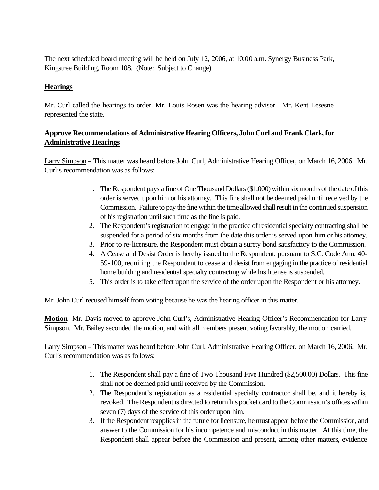The next scheduled board meeting will be held on July 12, 2006, at 10:00 a.m. Synergy Business Park, Kingstree Building, Room 108. (Note: Subject to Change)

# **Hearings**

Mr. Curl called the hearings to order. Mr. Louis Rosen was the hearing advisor. Mr. Kent Lesesne represented the state.

# **Approve Recommendations of Administrative Hearing Officers, John Curl and Frank Clark, for Administrative Hearings**

Larry Simpson – This matter was heard before John Curl, Administrative Hearing Officer, on March 16, 2006. Mr. Curl's recommendation was as follows:

- 1. The Respondent pays a fine of One Thousand Dollars (\$1,000) within six months of the date of this order is served upon him or his attorney. This fine shall not be deemed paid until received by the Commission. Failure to pay the fine within the time allowed shall result in the continued suspension of his registration until such time as the fine is paid.
- 2. The Respondent's registration to engage in the practice of residential specialty contracting shall be suspended for a period of six months from the date this order is served upon him or his attorney.
- 3. Prior to re-licensure, the Respondent must obtain a surety bond satisfactory to the Commission.
- 4. A Cease and Desist Order is hereby issued to the Respondent, pursuant to S.C. Code Ann. 40- 59-100, requiring the Respondent to cease and desist from engaging in the practice of residential home building and residential specialty contracting while his license is suspended.
- 5. This order is to take effect upon the service of the order upon the Respondent or his attorney.

Mr. John Curl recused himself from voting because he was the hearing officer in this matter.

**Motion** Mr. Davis moved to approve John Curl's, Administrative Hearing Officer's Recommendation for Larry Simpson. Mr. Bailey seconded the motion, and with all members present voting favorably, the motion carried.

Larry Simpson – This matter was heard before John Curl, Administrative Hearing Officer, on March 16, 2006. Mr. Curl's recommendation was as follows:

- 1. The Respondent shall pay a fine of Two Thousand Five Hundred (\$2,500.00) Dollars. This fine shall not be deemed paid until received by the Commission.
- 2. The Respondent's registration as a residential specialty contractor shall be, and it hereby is, revoked. The Respondent is directed to return his pocket card to the Commission's offices within seven (7) days of the service of this order upon him.
- 3. If the Respondent reapplies in the future for licensure, he must appear before the Commission, and answer to the Commission for his incompetence and misconduct in this matter. At this time, the Respondent shall appear before the Commission and present, among other matters, evidence